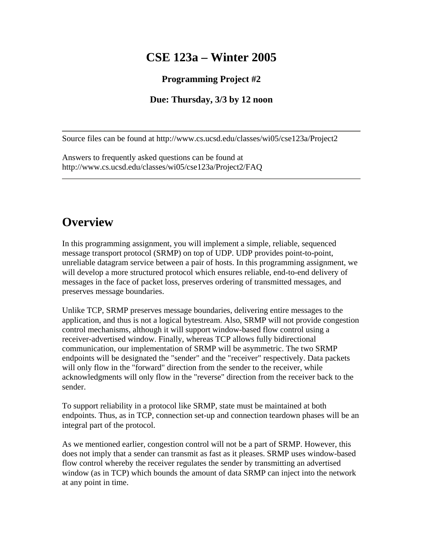# **CSE 123a – Winter 2005**

#### **Programming Project #2**

#### **Due: Thursday, 3/3 by 12 noon**

Source files can be found at http://www.cs.ucsd.edu/classes/wi05/cse123a/Project2

Answers to frequently asked questions can be found at http://www.cs.ucsd.edu/classes/wi05/cse123a/Project2/FAQ

# **Overview**

In this programming assignment, you will implement a simple, reliable, sequenced message transport protocol (SRMP) on top of UDP. UDP provides point-to-point, unreliable datagram service between a pair of hosts. In this programming assignment, we will develop a more structured protocol which ensures reliable, end-to-end delivery of messages in the face of packet loss, preserves ordering of transmitted messages, and preserves message boundaries.

Unlike TCP, SRMP preserves message boundaries, delivering entire messages to the application, and thus is not a logical bytestream. Also, SRMP will not provide congestion control mechanisms, although it will support window-based flow control using a receiver-advertised window. Finally, whereas TCP allows fully bidirectional communication, our implementation of SRMP will be asymmetric. The two SRMP endpoints will be designated the "sender" and the "receiver" respectively. Data packets will only flow in the "forward" direction from the sender to the receiver, while acknowledgments will only flow in the "reverse" direction from the receiver back to the sender.

To support reliability in a protocol like SRMP, state must be maintained at both endpoints. Thus, as in TCP, connection set-up and connection teardown phases will be an integral part of the protocol.

As we mentioned earlier, congestion control will not be a part of SRMP. However, this does not imply that a sender can transmit as fast as it pleases. SRMP uses window-based flow control whereby the receiver regulates the sender by transmitting an advertised window (as in TCP) which bounds the amount of data SRMP can inject into the network at any point in time.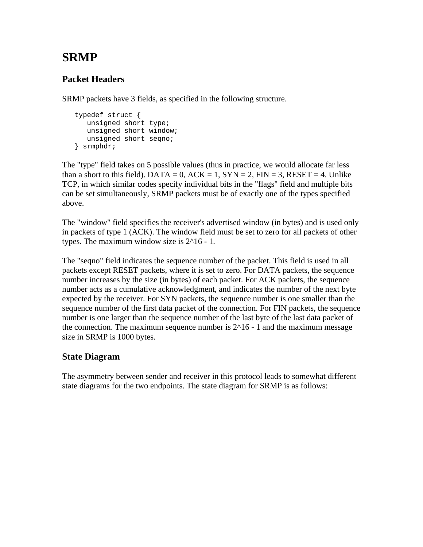# **SRMP**

## **Packet Headers**

SRMP packets have 3 fields, as specified in the following structure.

```
 typedef struct { 
  unsigned short type; 
   unsigned short window; 
   unsigned short seqno; 
} srmphdr;
```
The "type" field takes on 5 possible values (thus in practice, we would allocate far less than a short to this field). DATA = 0,  $ACK = 1$ ,  $SYN = 2$ ,  $FIN = 3$ ,  $RESET = 4$ . Unlike TCP, in which similar codes specify individual bits in the "flags" field and multiple bits can be set simultaneously, SRMP packets must be of exactly one of the types specified above.

The "window" field specifies the receiver's advertised window (in bytes) and is used only in packets of type 1 (ACK). The window field must be set to zero for all packets of other types. The maximum window size is 2^16 - 1.

The "seqno" field indicates the sequence number of the packet. This field is used in all packets except RESET packets, where it is set to zero. For DATA packets, the sequence number increases by the size (in bytes) of each packet. For ACK packets, the sequence number acts as a cumulative acknowledgment, and indicates the number of the next byte expected by the receiver. For SYN packets, the sequence number is one smaller than the sequence number of the first data packet of the connection. For FIN packets, the sequence number is one larger than the sequence number of the last byte of the last data packet of the connection. The maximum sequence number is  $2^{\wedge}16 - 1$  and the maximum message size in SRMP is 1000 bytes.

### **State Diagram**

The asymmetry between sender and receiver in this protocol leads to somewhat different state diagrams for the two endpoints. The state diagram for SRMP is as follows: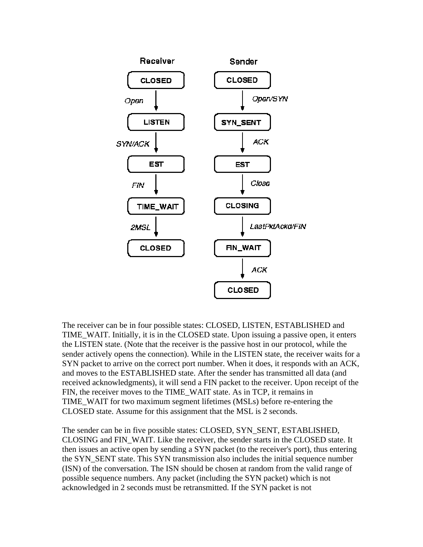

The receiver can be in four possible states: CLOSED, LISTEN, ESTABLISHED and TIME\_WAIT. Initially, it is in the CLOSED state. Upon issuing a passive open, it enters the LISTEN state. (Note that the receiver is the passive host in our protocol, while the sender actively opens the connection). While in the LISTEN state, the receiver waits for a SYN packet to arrive on the correct port number. When it does, it responds with an ACK, and moves to the ESTABLISHED state. After the sender has transmitted all data (and received acknowledgments), it will send a FIN packet to the receiver. Upon receipt of the FIN, the receiver moves to the TIME\_WAIT state. As in TCP, it remains in TIME\_WAIT for two maximum segment lifetimes (MSLs) before re-entering the CLOSED state. Assume for this assignment that the MSL is 2 seconds.

The sender can be in five possible states: CLOSED, SYN\_SENT, ESTABLISHED, CLOSING and FIN\_WAIT. Like the receiver, the sender starts in the CLOSED state. It then issues an active open by sending a SYN packet (to the receiver's port), thus entering the SYN\_SENT state. This SYN transmission also includes the initial sequence number (ISN) of the conversation. The ISN should be chosen at random from the valid range of possible sequence numbers. Any packet (including the SYN packet) which is not acknowledged in 2 seconds must be retransmitted. If the SYN packet is not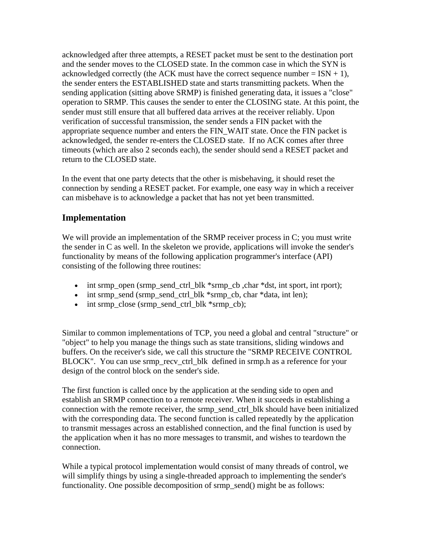acknowledged after three attempts, a RESET packet must be sent to the destination port and the sender moves to the CLOSED state. In the common case in which the SYN is acknowledged correctly (the ACK must have the correct sequence number =  $ISN + 1$ ), the sender enters the ESTABLISHED state and starts transmitting packets. When the sending application (sitting above SRMP) is finished generating data, it issues a "close" operation to SRMP. This causes the sender to enter the CLOSING state. At this point, the sender must still ensure that all buffered data arrives at the receiver reliably. Upon verification of successful transmission, the sender sends a FIN packet with the appropriate sequence number and enters the FIN\_WAIT state. Once the FIN packet is acknowledged, the sender re-enters the CLOSED state. If no ACK comes after three timeouts (which are also 2 seconds each), the sender should send a RESET packet and return to the CLOSED state.

In the event that one party detects that the other is misbehaving, it should reset the connection by sending a RESET packet. For example, one easy way in which a receiver can misbehave is to acknowledge a packet that has not yet been transmitted.

#### **Implementation**

We will provide an implementation of the SRMP receiver process in C; you must write the sender in C as well. In the skeleton we provide, applications will invoke the sender's functionality by means of the following application programmer's interface (API) consisting of the following three routines:

- int srmp\_open (srmp\_send\_ctrl\_blk \*srmp\_cb, char \*dst, int sport, int rport);
- int srmp\_send (srmp\_send\_ctrl\_blk \*srmp\_cb, char \*data, int len);
- int srmp\_close (srmp\_send\_ctrl\_blk \*srmp\_cb);

Similar to common implementations of TCP, you need a global and central "structure" or "object" to help you manage the things such as state transitions, sliding windows and buffers. On the receiver's side, we call this structure the "SRMP RECEIVE CONTROL BLOCK". You can use srmp\_recv\_ctrl\_blk defined in srmp.h as a reference for your design of the control block on the sender's side.

The first function is called once by the application at the sending side to open and establish an SRMP connection to a remote receiver. When it succeeds in establishing a connection with the remote receiver, the srmp\_send\_ctrl\_blk should have been initialized with the corresponding data. The second function is called repeatedly by the application to transmit messages across an established connection, and the final function is used by the application when it has no more messages to transmit, and wishes to teardown the connection.

While a typical protocol implementation would consist of many threads of control, we will simplify things by using a single-threaded approach to implementing the sender's functionality. One possible decomposition of srmp\_send() might be as follows: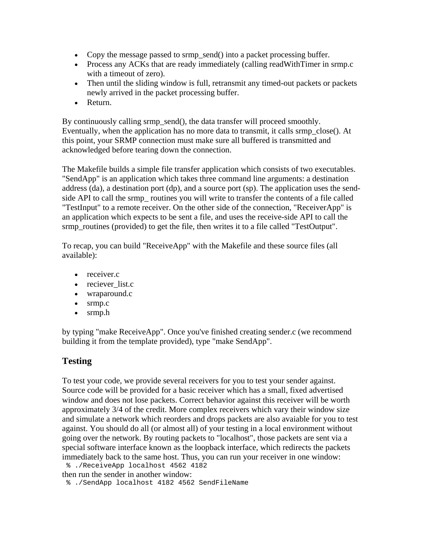- Copy the message passed to srmp\_send() into a packet processing buffer.
- Process any ACKs that are ready immediately (calling readWithTimer in srmp.c with a timeout of zero).
- Then until the sliding window is full, retransmit any timed-out packets or packets newly arrived in the packet processing buffer.
- Return.

By continuously calling srmp\_send(), the data transfer will proceed smoothly. Eventually, when the application has no more data to transmit, it calls srmp\_close(). At this point, your SRMP connection must make sure all buffered is transmitted and acknowledged before tearing down the connection.

The Makefile builds a simple file transfer application which consists of two executables. "SendApp" is an application which takes three command line arguments: a destination address (da), a destination port (dp), and a source port (sp). The application uses the sendside API to call the srmp\_ routines you will write to transfer the contents of a file called "TestInput" to a remote receiver. On the other side of the connection, "ReceiverApp" is an application which expects to be sent a file, and uses the receive-side API to call the srmp\_routines (provided) to get the file, then writes it to a file called "TestOutput".

To recap, you can build "ReceiveApp" with the Makefile and these source files (all available):

- receiver.c
- reciever list.c
- wraparound.c
- srmp.c
- srmp.h

by typing "make ReceiveApp". Once you've finished creating sender.c (we recommend building it from the template provided), type "make SendApp".

### **Testing**

To test your code, we provide several receivers for you to test your sender against. Source code will be provided for a basic receiver which has a small, fixed advertised window and does not lose packets. Correct behavior against this receiver will be worth approximately 3/4 of the credit. More complex receivers which vary their window size and simulate a network which reorders and drops packets are also avaiable for you to test against. You should do all (or almost all) of your testing in a local environment without going over the network. By routing packets to "localhost", those packets are sent via a special software interface known as the loopback interface, which redirects the packets immediately back to the same host. Thus, you can run your receiver in one window: % ./ReceiveApp localhost 4562 4182

then run the sender in another window:

% ./SendApp localhost 4182 4562 SendFileName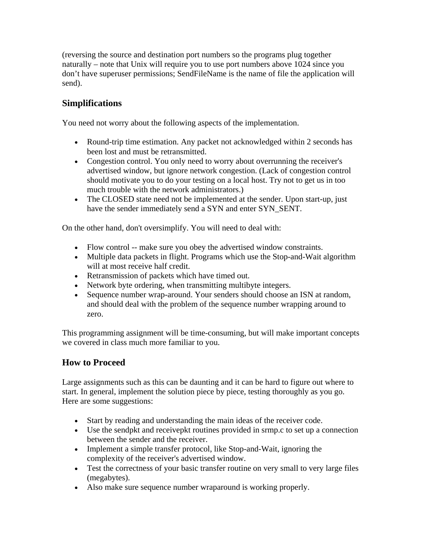(reversing the source and destination port numbers so the programs plug together naturally – note that Unix will require you to use port numbers above 1024 since you don't have superuser permissions; SendFileName is the name of file the application will send).

## **Simplifications**

You need not worry about the following aspects of the implementation.

- Round-trip time estimation. Any packet not acknowledged within 2 seconds has been lost and must be retransmitted.
- Congestion control. You only need to worry about overrunning the receiver's advertised window, but ignore network congestion. (Lack of congestion control should motivate you to do your testing on a local host. Try not to get us in too much trouble with the network administrators.)
- The CLOSED state need not be implemented at the sender. Upon start-up, just have the sender immediately send a SYN and enter SYN\_SENT.

On the other hand, don't oversimplify. You will need to deal with:

- Flow control -- make sure you obey the advertised window constraints.
- Multiple data packets in flight. Programs which use the Stop-and-Wait algorithm will at most receive half credit.
- Retransmission of packets which have timed out.
- Network byte ordering, when transmitting multibyte integers.
- Sequence number wrap-around. Your senders should choose an ISN at random, and should deal with the problem of the sequence number wrapping around to zero.

This programming assignment will be time-consuming, but will make important concepts we covered in class much more familiar to you.

### **How to Proceed**

Large assignments such as this can be daunting and it can be hard to figure out where to start. In general, implement the solution piece by piece, testing thoroughly as you go. Here are some suggestions:

- Start by reading and understanding the main ideas of the receiver code.
- Use the sendpkt and receivepkt routines provided in srmp.c to set up a connection between the sender and the receiver.
- Implement a simple transfer protocol, like Stop-and-Wait, ignoring the complexity of the receiver's advertised window.
- Test the correctness of your basic transfer routine on very small to very large files (megabytes).
- Also make sure sequence number wraparound is working properly.